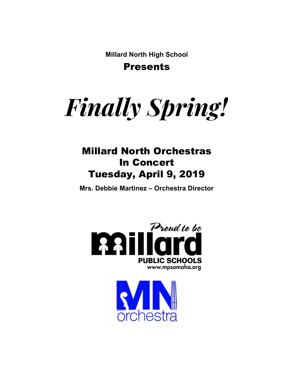**Millard North High School** Presents

*Finally Spring!*

### Millard North Orchestras In Concert Tuesday, April 9, 2019

**Mrs. Debbie Martinez – Orchestra Director**



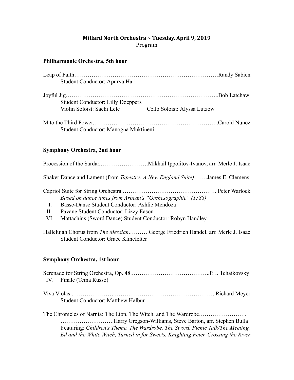#### **Millard North Orchestra ~ Tuesday, April 9, 2019** Program

#### **Philharmonic Orchestra, 5th hour**

| Student Conductor: Apurva Hari                                         |                              |  |
|------------------------------------------------------------------------|------------------------------|--|
|                                                                        |                              |  |
| <b>Student Conductor: Lilly Doeppers</b><br>Violin Soloist: Sachi Lele | Cello Soloist: Alyssa Lutzow |  |
|                                                                        |                              |  |
| Student Conductor: Manogna Muktineni                                   |                              |  |

#### **Symphony Orchestra, 2nd hour**

Procession of the Sardar.…………………….Mikhail IppolitovIvanov, arr. Merle J. Isaac

Shaker Dance and Lament (from *Tapestry: A New England Suite)* …….James E. Clemens

| Based on dance tunes from Arbeau's "Orchesographie" (1588) |  |  |  |  |  |  |  |
|------------------------------------------------------------|--|--|--|--|--|--|--|
|                                                            |  |  |  |  |  |  |  |

- I. Basse-Danse Student Conductor: Ashlie Mendoza
- II. Pavane Student Conductor: Lizzy Eason
- VI. Mattachins (Sword Dance) Student Conductor: Robyn Handley

Hallelujah Chorus from *The Messiah* .……….George Friedrich Handel, arr. Merle J. Isaac Student Conductor: Grace Klinefelter

#### **Symphony Orchestra, 1st hour**

| IV. Finale (Tema Russo)                  |  |
|------------------------------------------|--|
| <b>Student Conductor: Matthew Halbur</b> |  |

The Chronicles of Narnia: The Lion, The Witch, and The Wardrobe……………………. ..............................Harry Gregson-Williams, Steve Barton, arr. Stephen Bulla Featuring: *Children's Theme, The Wardrobe, The Sword, Picnic Talk/The Meeting, Ed and the White Witch, Turned in for Sweets, Knighting Peter, Crossing the River*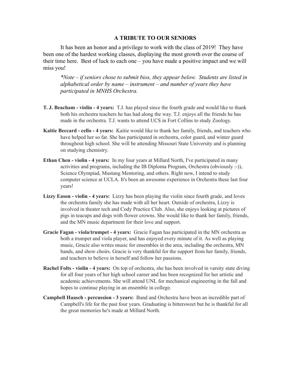#### **A TRIBUTE TO OUR SENIORS**

It has been an honor and a privilege to work with the class of 2019! They have been one of the hardest working classes, displaying the most growth over the course of their time here. Best of luck to each one – you have made a positive impact and we will miss you!

*\*Note – if seniors chose to submit bios, they appear below. Students are listed in alphabetical order by name – instrument – and number of years they have participated in MNHS Orchestra.*

- **T. J. Beacham violin 4 years:** T.J. has played since the fourth grade and would like to thank both his orchestra teachers he has had along the way. T.J. enjoys all the friends he has made in the orchestra. T.J. wants to attend UCS in Fort Collins to study Zoology.
- **Kaitie Beccard cello 4 years:** Kaitie would like to thank her family, friends, and teachers who have helped her so far. She has participated in orchestra, color guard, and winter guard throughout high school. She will be attending Missouri State University and is planning on studying chemistry.
- **Ethan Chen** violin 4 years: In my four years at Millard North, I've participated in many activities and programs, including the IB Diploma Program, Orchestra (obviously :-)), Science Olympiad, Mustang Mentoring, and others. Right now, I intend to study computer science at UCLA. It's been an awesome experience in Orchestra these last four years!
- **Lizzy Eason violin 4 years:** Lizzy has been playing the violin since fourth grade, and loves the orchestra family she has made with all her heart. Outside of orchestra, Lizzy is involved in theater tech and Cody Practice Club. Also, she enjoys looking at pictures of pigs in teacups and dogs with flower crowns. She would like to thank her family, friends, and the MN music department for their love and support.
- **Gracie Fagan viola/trumpet 4 years:** Gracie Fagan has participated in the MN orchestra as both a trumpet and viola player, and has enjoyed every minute of it. As well as playing music, Gracie also writes music for ensembles in the area, including the orchestra, MN bands, and show choirs. Gracie is very thankful for the support from her family, friends, and teachers to believe in herself and follow her passions.
- **Rachel Folts violin 4 years:** On top of orchestra, she has been involved in varsity state diving for all four years of her high school career and has been recognized for her artistic and academic achievements. She will attend UNL for mechanical engineering in the fall and hopes to continue playing in an ensemble in college.
- **Campbell Haasch percussion 3 years:** Band and Orchestra have been an incredible part of Campbell's life for the past four years. Graduating is bittersweet but he is thankful for all the great memories he's made at Millard North.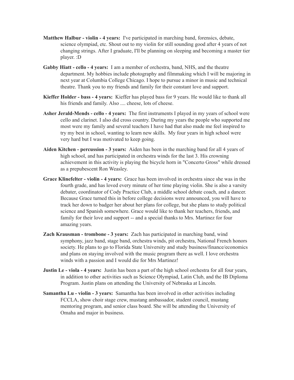- **Matthew Halbur violin 4 years:** I've participated in marching band, forensics, debate, science olympiad, etc. Shout out to my violin for still sounding good after 4 years of not changing strings. After I graduate, I'll be planning on sleeping and becoming a master tier player. :D
- **Gabby Hiatt cello 4 years:** I am a member of orchestra, band, NHS, and the theatre department. My hobbies include photography and filmmaking which I will be majoring in next year at Columbia College Chicago. I hope to pursue a minor in music and technical theatre. Thank you to my friends and family for their constant love and support.
- **Kieffer Holder bass 4 years:** Kieffer has played bass for 9 years. He would like to thank all his friends and family. Also .... cheese, lots of cheese.
- Asher **Jerald-Mends** cello 4 years: The first instruments I played in my years of school were cello and clarinet. I also did cross country. During my years the people who supported me most were my family and several teachers I have had that also made me feel inspired to try my best in school, wanting to learn new skills. My four years in high school were very hard but I was motivated to keep going.
- **Aiden Kitchen percussion 3 years:** Aiden has been in the marching band for all 4 years of high school, and has participated in orchestra winds for the last 3. His crowning achievement in this activity is playing the bicycle horn in "Concerto Gross" while dressed as a prepubescent Ron Weasley.
- **Grace Klinefelter violin 4 years:** Grace has been involved in orchestra since she was in the fourth grade, and has loved every minute of her time playing violin. She is also a varsity debater, coordinator of Cody Practice Club, a middle school debate coach, and a dancer. Because Grace turned this in before college decisions were announced, you will have to track her down to badger her about her plans for college, but she plans to study political science and Spanish somewhere. Grace would like to thank her teachers, friends, and family for their love and support -- and a special thanks to Mrs. Martinez for four amazing years.
- **Zach Krausman trombone 3 years:** Zach has participated in marching band, wind symphony, jazz band, stage band, orchestra winds, pit orchestra, National French honors society. He plans to go to Florida State University and study business/finance/economics and plans on staying involved with the music program there as well. I love orchestra winds with a passion and I would die for Mrs Martinez!
- **Justin** Le viola 4 years: Justin has been a part of the high school orchestra for all four years, in addition to other activities such as Science Olympiad, Latin Club, and the IB Diploma Program. Justin plans on attending the University of Nebraska at Lincoln.
- **Samantha Lu violin** 3 **years:** Samantha has been involved in other activities including FCCLA, show choir stage crew, mustang ambassador, student council, mustang mentoring program, and senior class board. She will be attending the University of Omaha and major in business.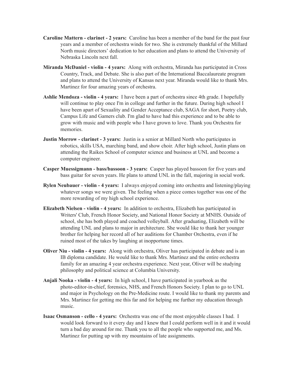- **Caroline Mattern clarinet 2 years:** Caroline has been a member of the band for the past four years and a member of orchestra winds for two. She is extremely thankful of the Millard North music directors' dedication to her education and plans to attend the University of Nebraska Lincoln next fall.
- **Miranda McDaniel violin 4 years:** Along with orchestra, Miranda has participated in Cross Country, Track, and Debate. She is also part of the International Baccalaureate program and plans to attend the University of Kansas next year. Miranda would like to thank Mrs. Martinez for four amazing years of orchestra.
- **Ashlie Mendoza violin 4 years:** I have been a part of orchestra since 4th grade. I hopefully will continue to play once I'm in college and further in the future. During high school I have been apart of Sexuality and Gender Acceptance club, SAGA for short, Poetry club, Campus Life and Gamers club. I'm glad to have had this experience and to be able to grow with music and with people who I have grown to love. Thank you Orchestra for memories.
- **Justin Morrow clarinet 3 years:** Justin is a senior at Millard North who participates in robotics, skills USA, marching band, and show choir. After high school, Justin plans on attending the Raikes School of computer science and business at UNL and become a computer engineer.
- **Casper Muessigmann bass/bassoon 3 years:** Casper has played bassoon for five years and bass guitar for seven years. He plans to attend UNL in the fall, majoring in social work.
- **Rylen Neubauer violin 4 years:** I always enjoyed coming into orchestra and listening/playing whatever songs we were given. The feeling when a piece comes together was one of the more rewarding of my high school experience.
- **Elizabeth Nielsen violin 4 years:** In addition to orchestra, Elizabeth has participated in Writers' Club, French Honor Society, and National Honor Society at MNHS. Outside of school, she has both played and coached volleyball. After graduating, Elizabeth will be attending UNL and plans to major in architecture. She would like to thank her younger brother for helping her record all of her auditions for Chamber Orchestra, even if he ruined most of the takes by laughing at inopportune times.
- **Oliver Niu violin 4 years:** Along with orchestra, Oliver has participated in debate and is an IB diploma candidate. He would like to thank Mrs. Martinez and the entire orchestra family for an amazing 4 year orchestra experience. Next year, Oliver will be studying philosophy and political science at Columbia University.
- **Anjali Nooka violin 4 years:** In high school, I have participated in yearbook as the photo-editor-in-chief, forensics, NHS, and French Honors Society. I plan to go to UNL and major in Psychology on the Pre-Medicine route. I would like to thank my parents and Mrs. Martinez for getting me this far and for helping me further my education through music.
- **Isaac Osmanson cello 4 years:** Orchestra was one of the most enjoyable classes I had. I would look forward to it every day and I knew that I could perform well in it and it would turn a bad day around for me. Thank you to all the people who supported me, and Ms. Martinez for putting up with my mountains of late assignments.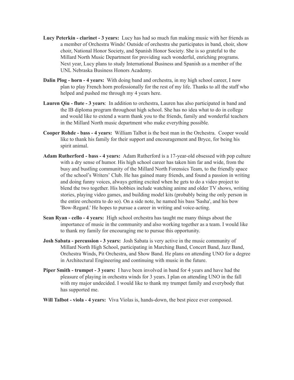- **Lucy Peterkin clarinet 3 years:** Lucy has had so much fun making music with her friends as a member of Orchestra Winds! Outside of orchestra she participates in band, choir, show choir, National Honor Society, and Spanish Honor Society. She is so grateful to the Millard North Music Department for providing such wonderful, enriching programs. Next year, Lucy plans to study International Business and Spanish as a member of the UNL Nebraska Business Honors Academy.
- **Dalin Plog horn 4 years:** With doing band and orchestra, in my high school career, I now plan to play French horn professionally for the rest of my life. Thanks to all the staff who helped and pushed me through my 4 years here.
- **Lauren Qiu flute 3 years**: In addition to orchestra, Lauren has also participated in band and the IB diploma program throughout high school. She has no idea what to do in college and would like to extend a warm thank you to the friends, family and wonderful teachers in the Millard North music department who make everything possible.
- **Cooper Rohde bass 4 years:** William Talbot is the best man in the Orchestra. Cooper would like to thank his family for their support and encouragement and Bryce, for being his spirit animal.
- Adam Rutherford bass 4 years: Adam Rutherford is a 17-year-old obsessed with pop culture with a dry sense of humor. His high school career has taken him far and wide, from the busy and bustling community of the Millard North Forensics Team, to the friendly space of the school's Writers' Club. He has gained many friends, and found a passion in writing and doing funny voices, always getting excited when he gets to do a video project to blend the two together. His hobbies include watching anime and older TV shows, writing stories, playing video games, and building model kits (probably being the only person in the entire orchestra to do so). On a side note, he named his bass 'Sasha', and his bow 'Bow-Regard.' He hopes to pursue a career in writing and voice-acting.
- **Sean Ryan cello 4 years:** High school orchestra has taught me many things about the importance of music in the community and also working together as a team. I would like to thank my family for encouraging me to pursue this opportunity.
- **Josh Sabata percussion** 3 **years:** Josh Sabata is very active in the music community of Millard North High School, participating in Marching Band, Concert Band, Jazz Band, Orchestra Winds, Pit Orchestra, and Show Band. He plans on attending UNO for a degree in Architectural Engineering and continuing with music in the future.
- **Piper Smith trumpet** 3 years: I have been involved in band for 4 years and have had the pleasure of playing in orchestra winds for 3 years. I plan on attending UNO in the fall with my major undecided. I would like to thank my trumpet family and everybody that has supported me.
- **Will Talbot** viola 4 years: Viva Violas is, hands-down, the best piece ever composed.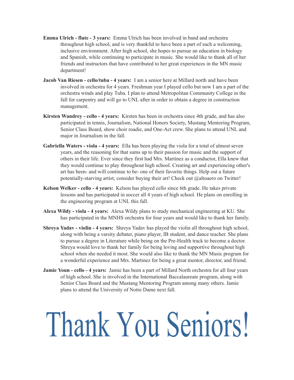- **Emma** Ulrich flute 3 years: Emma Ulrich has been involved in band and orchestra throughout high school, and is very thankful to have been a part of such a welcoming, inclusive environment. After high school, she hopes to pursue an education in biology and Spanish, while continuing to participate in music. She would like to thank all of her friends and instructors that have contributed to her great experiences in the MN music department!
- **Jacob Van Riesen cello/tuba 4 years:** I am a senior here at Millard north and have been involved in orchestra for 4 years. Freshman year I played cello but now I am a part of the orchestra winds and play Tuba. I plan to attend Metropolitan Community College in the fall for carpentry and will go to UNL after in order to obtain a degree in construction management.
- **Kirsten Wandrey cello 4 years:** Kirsten has been in orchestra since 4th grade, and has also participated in tennis, Journalism, National Honors Society, Mustang Mentoring Program, Senior Class Board, show choir roadie, and One-Act crew. She plans to attend UNL and major in Journalism in the fall.
- **Gabriella Waters viola 4 years:** Ella has been playing the viola for a total of almost seven years, and the reasoning for that sums up to their passion for music and the support of others in their life. Ever since they first had Mrs. Martinez as a conductor, Ella knew that they would continue to play throughout high school. Creating art and experiencing other's art has been- and will continue to be- one of their favorite things. Help out a future potentially-starving artist; consider buying their art! Check out @altoaero on Twitter!
- **Kelson Welker cello 4 years:** Kelson has played cello since 6th grade. He takes private lessons and has participated in soccer all 4 years of high school. He plans on enrolling in the engineering program at UNL this fall.
- **Alexa Wildy viola 4 years:** Alexa Wildy plans to study mechanical engineering at KU. She has participated in the MNHS orchestra for four years and would like to thank her family.
- **Shreya Yadav violin** 4 **years:** Shreya Yadav has played the violin all throughout high school, along with being a varsity debater, piano player, IB student, and dance teacher. She plans to pursue a degree in Literature while being on the PreHealth track to become a doctor. Shreya would love to thank her family for being loving and supportive throughout high school when she needed it most. She would also like to thank the MN Music program for a wonderful experience and Mrs. Martinez for being a great mentor, director, and friend.
- **Jamie Youn cello 4 years:** Jamie has been a part of Millard North orchestra for all four years of high school. She is involved in the International Baccalaureate program, along with Senior Class Board and the Mustang Mentoring Program among many others. Jamie plans to attend the University of Notre Dame next fall.

# Thank You Seniors!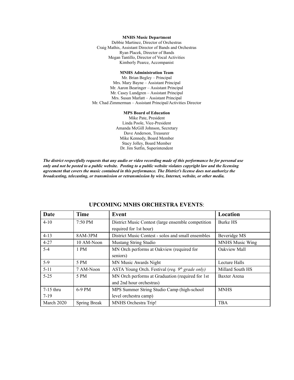#### **MNHS Music Department**

Debbie Martinez, Director of Orchestras Craig Mathis, Assistant Director of Bands and Orchestras Ryan Placek, Director of Bands Megan Tantillo, Director of Vocal Activities Kimberly Pearce, Accompanist

#### **MNHS Administration Team**

Mr. Brian Begley – Principal Mrs. Mary Bayne – Assistant Principal Mr. Aaron Bearinger – Assistant Principal Mr. Casey Lundgren – Assistant Principal Mrs. Susan Marlatt – Assistant Principal Mr. Chad Zimmerman – Assistant Principal/Activities Director

#### **MPS Board of Education**

Mike Pate, President Linda Poole, Vice-President Amanda McGill Johnson, Secretary Dave Anderson, Treasurer Mike Kennedy, Board Member Stacy Jolley, Board Member Dr. Jim Sutfin, Superintendent

*The district respectfully requests that any audio or video recording made of this performance be for personal use only and not be posted to a public website. Posting to a public website violates copyright law and the licensing agreement that covers the music contained in this performance. The District's license does not authorize the broadcasting, telecasting, or transmission or retransmission by wire, Internet, website, or other media.*

| Date                  | <b>Time</b>         | Event                                                                         | Location               |
|-----------------------|---------------------|-------------------------------------------------------------------------------|------------------------|
| $4 - 10$              | 7:50 PM             | District Music Contest (large ensemble competition<br>required for 1st hour)  | <b>Burke HS</b>        |
| $4 - 13$              | 8AM-3PM             | District Music Contest - solos and small ensembles                            | Beveridge MS           |
| $4 - 27$              | 10 AM-Noon          | <b>Mustang String Studio</b>                                                  | <b>MNHS Music Wing</b> |
| $5 - 4$               | 1 PM                | MN Orch performs at Oakview (required for<br>seniors)                         | Oakview Mall           |
| $5-9$                 | 5 PM                | MN Music Awards Night                                                         | Lecture Halls          |
| $5 - 11$              | 7 AM-Noon           | ASTA Young Orch. Festival (req. $9th$ grade only)                             | Millard South HS       |
| $5 - 25$              | 5 PM                | MN Orch performs at Graduation (required for 1st)<br>and 2nd hour orchestras) | Baxter Arena           |
| $7-15$ thru<br>$7-19$ | $6-9$ PM            | MPS Summer String Studio Camp (high-school<br>level orchestra camp)           | <b>MNHS</b>            |
| March 2020            | <b>Spring Break</b> | MNHS Orchestra Trip!                                                          | <b>TBA</b>             |

#### **UPCOMING MNHS ORCHESTRA EVENTS:**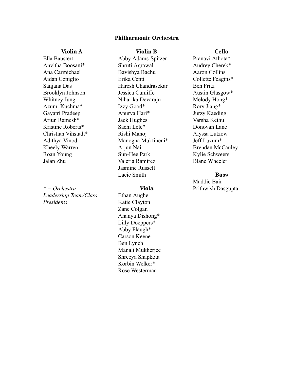#### **Philharmonic Orchestra**

#### **Violin A**

Ella Baustert Anvitha Boosani\* Ana Carmichael Aidan Coniglio Sanjana Das Brooklyn Johnson Whitney Jung Azumi Kuchma\* Gayatri Pradeep Arjun Ramesh\* Kristine Roberts\* Christian Vihstadt\* Adithya Vinod Kheely Warren Roan Young Jalan Zhu

*\* = Orchestra Leadership Team/Class Presidents*

**Violin B**

Abby Adams-Spitzer Shruti Agrawal Bavishya Bachu Erika Centi Haresh Chandrasekar Jessica Cunliffe Niharika Devaraju Izzy Good\* Apurva Hari\* Jack Hughes Sachi Lele\* Rishi Manoj Manogna Muktineni\* Arjun Nair Sun-Hee Park Valeria Ramirez Jasmine Russell Lacie Smith

#### **Viola**

Ethan Aughe Katie Clayton Zane Colgan Ananya Dishong\* Lilly Doeppers\* Abby Flaugh\* Carson Keene Ben Lynch Manali Mukherjee Shreeya Shapkota Korbin Welker\* Rose Westerman

#### **Cello**

Pranavi Athota\* Audrey Cherek\* Aaron Collins Collette Feagins\* Ben Fritz Austin Glasgow\* Melody Hong\* Rory Jiang\* Jurzy Kaeding Varsha Kethu Donovan Lane Alyssa Lutzow Jeff Luzum\* Brendan McCauley Kylie Schweers Blane Wheeler

#### **Bass**

Maddie Bair Prithwish Dasgupta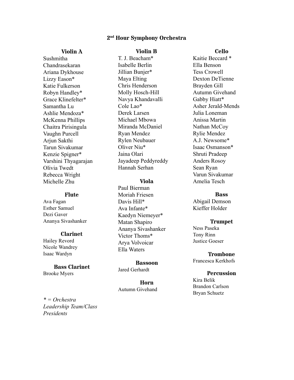#### **2 nd Hour Symphony Orchestra**

#### **Violin A**

Sushmitha Chandrasekaran Ariana Dykhouse Lizzy Eason\* Katie Fulkerson Robyn Handley\* Grace Klinefelter\* Samantha Lu Ashlie Mendoza\* McKenna Phillips Chaitra Pirisingula Vaughn Purcell Arjun Sakthi Tarun Sivakumar Kenzie Spigner\* Varshini Thyagarajan Olivia Twedt Rebecca Wright Michelle Zhu

#### **Flute**

Ava Fagan Esther Samuel Dezi Gaver Ananya Sivashanker

#### **Clarinet**

Hailey Revord Nicole Wandrey Isaac Wardyn

#### **Bass Clarinet**

Brooke Myers

#### **Violin B**

T. J. Beacham\* Isabelle Berlin Jillian Bunjer\* Maya Elting Chris Henderson Molly Hosch-Hill Navya Khandavalli Cole Lao\* Derek Larsen Michael Mbowa Miranda McDaniel Ryan Mendez Rylen Neubauer Oliver Niu\* Jaina Olari Jayadeep Peddyreddy Hannah Serhan

#### **Viola**

Paul Bierman Moriah Friesen Davis Hill\* Ava Infante\* Kaedyn Niemeyer\* Matan Shapiro Ananya Sivashanker Victor Thoms\* Arya Volvoicar Ella Waters

**Bassoon** Jared Gerhardt

**Horn** Autumn Givehand **Cello**

Kaitie Beccard \* Ella Benson Tess Crowell Dexton DeTienne Brayden Gill Autumn Givehand Gabby Hiatt\* Asher Jerald-Mends Julia Loneman Anissa Martin Nathan McCoy Rylie Mendez A.J. Newsome\* Isaac Osmanson\* Shruti Pradeep Anders Rosoy Sean Ryan Varun Sivakumar Amelia Tesch

#### **Bass**

Abigail Demson Kieffer Holder

**Trumpet** Ness Paseka

Tony Rinn Justice Goeser

**Trombone** Francesca Kerkhofs

#### **Percussion**

Kira Belik Brandon Carlson Bryan Schuetz

*\* = Orchestra Leadership Team/Class Presidents*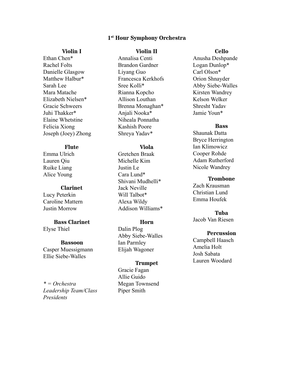#### **1 st Hour Symphony Orchestra**

#### **Violin I**

Ethan Chen\* Rachel Folts Danielle Glasgow Matthew Halbur\* Sarah Lee Mara Matache Elizabeth Nielsen\* Gracie Schweers Juhi Thakker\* Elaine Whetstine Felicia Xiong Joseph (Joey) Zhong

#### **Flute**

Emma Ulrich Lauren Qiu Ruike Liang Alice Young

#### **Clarinet**

Lucy Peterkin Caroline Mattern Justin Morrow

#### **Bass Clarinet**

Elyse Thiel

#### **Bassoon**

Casper Muessigmann Ellie Siebe-Walles

*\* = Orchestra Leadership Team/Class Presidents*

#### **Violin II**

Annalisa Centi Brandon Gardner Liyang Guo Francesca Kerkhofs Sree Kolli\* Rianna Kopcho Allison Louthan Brenna Monaghan\* Anjali Nooka\* Niheala Ponnatha Kashish Poore Shreya Yadav\*

#### **Viola**

Gretchen Braak Michelle Kim Justin Le Cara Lund\* Shivani Mudhelli\* Jack Neville Will Talbot\* Alexa Wildy Addison Williams\*

#### **Horn**

Dalin Plog Abby Siebe-Walles Ian Parmley Elijah Wagoner

#### **Trumpet**

Gracie Fagan Allie Guido Megan Townsend Piper Smith

#### **Cello**

Anusha Deshpande Logan Dunlop\* Carl Olson\* Orion Shnayder Abby Siebe-Walles Kirsten Wandrey Kelson Welker Shresht Yadav Jamie Youn\*

#### **Bass**

Shaunak Datta Bryce Herrington Ian Klimowicz Cooper Rohde Adam Rutherford Nicole Wandrey

#### **Trombone**

Zach Krausman Christian Lund Emma Houfek

#### **Tuba**

Jacob Van Riesen

#### **Percussion**

Campbell Haasch Amelia Holt Josh Sabata Lauren Woodard